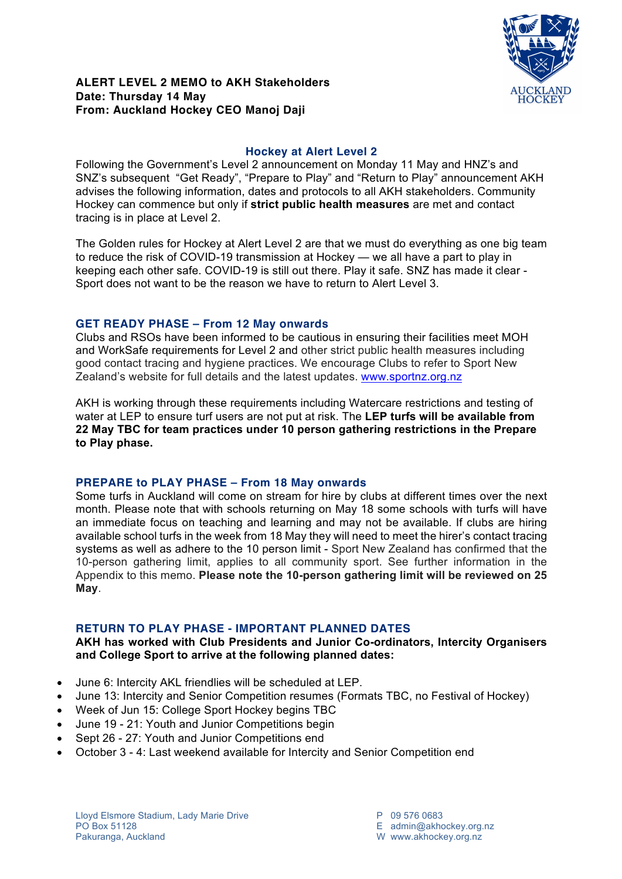

# **Hockey at Alert Level 2**

Following the Government's Level 2 announcement on Monday 11 May and HNZ's and SNZ's subsequent "Get Ready", "Prepare to Play" and "Return to Play" announcement AKH advises the following information, dates and protocols to all AKH stakeholders. Community Hockey can commence but only if **strict public health measures** are met and contact tracing is in place at Level 2.

The Golden rules for Hockey at Alert Level 2 are that we must do everything as one big team to reduce the risk of COVID-19 transmission at Hockey — we all have a part to play in keeping each other safe. COVID-19 is still out there. Play it safe. SNZ has made it clear - Sport does not want to be the reason we have to return to Alert Level 3.

# **GET READY PHASE – From 12 May onwards**

Clubs and RSOs have been informed to be cautious in ensuring their facilities meet MOH and WorkSafe requirements for Level 2 and other strict public health measures including good contact tracing and hygiene practices. We encourage Clubs to refer to Sport New Zealand's website for full details and the latest updates. www.sportnz.org.nz

AKH is working through these requirements including Watercare restrictions and testing of water at LEP to ensure turf users are not put at risk. The **LEP turfs will be available from 22 May TBC for team practices under 10 person gathering restrictions in the Prepare to Play phase.**

### **PREPARE to PLAY PHASE – From 18 May onwards**

Some turfs in Auckland will come on stream for hire by clubs at different times over the next month. Please note that with schools returning on May 18 some schools with turfs will have an immediate focus on teaching and learning and may not be available. If clubs are hiring available school turfs in the week from 18 May they will need to meet the hirer's contact tracing systems as well as adhere to the 10 person limit - Sport New Zealand has confirmed that the 10-person gathering limit, applies to all community sport. See further information in the Appendix to this memo. **Please note the 10-person gathering limit will be reviewed on 25 May**.

### **RETURN TO PLAY PHASE - IMPORTANT PLANNED DATES**

#### **AKH has worked with Club Presidents and Junior Co-ordinators, Intercity Organisers and College Sport to arrive at the following planned dates:**

- June 6: Intercity AKL friendlies will be scheduled at LEP.
- June 13: Intercity and Senior Competition resumes (Formats TBC, no Festival of Hockey)
- Week of Jun 15: College Sport Hockey begins TBC
- June 19 21: Youth and Junior Competitions begin
- Sept 26 27: Youth and Junior Competitions end
- October 3 4: Last weekend available for Intercity and Senior Competition end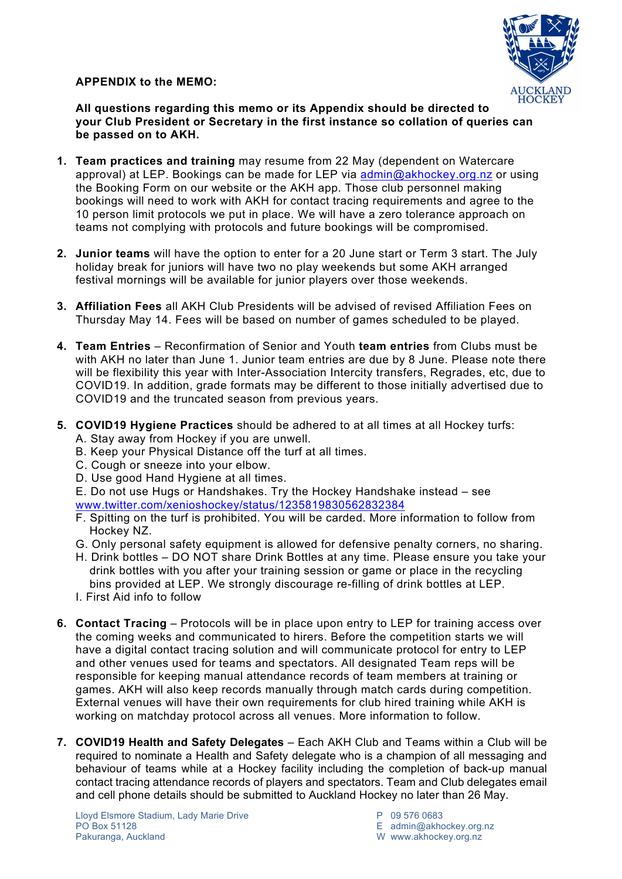**APPENDIX to the MEMO:**



**All questions regarding this memo or its Appendix should be directed to your Club President or Secretary in the first instance so collation of queries can be passed on to AKH.**

- **1. Team practices and training** may resume from 22 May (dependent on Watercare approval) at LEP. Bookings can be made for LEP via admin@akhockey.org.nz or using the Booking Form on our website or the AKH app. Those club personnel making bookings will need to work with AKH for contact tracing requirements and agree to the 10 person limit protocols we put in place. We will have a zero tolerance approach on teams not complying with protocols and future bookings will be compromised.
- **2. Junior teams** will have the option to enter for a 20 June start or Term 3 start. The July holiday break for juniors will have two no play weekends but some AKH arranged festival mornings will be available for junior players over those weekends.
- **3. Affiliation Fees** all AKH Club Presidents will be advised of revised Affiliation Fees on Thursday May 14. Fees will be based on number of games scheduled to be played.
- **4. Team Entries** Reconfirmation of Senior and Youth **team entries** from Clubs must be with AKH no later than June 1. Junior team entries are due by 8 June. Please note there will be flexibility this year with Inter-Association Intercity transfers, Regrades, etc, due to COVID19. In addition, grade formats may be different to those initially advertised due to COVID19 and the truncated season from previous years.
- **5. COVID19 Hygiene Practices** should be adhered to at all times at all Hockey turfs:
	- A. Stay away from Hockey if you are unwell.
	- B. Keep your Physical Distance off the turf at all times.
	- C. Cough or sneeze into your elbow.
	- D. Use good Hand Hygiene at all times.
	- E. Do not use Hugs or Handshakes. Try the Hockey Handshake instead see www.twitter.com/xenioshockey/status/1235819830562832384
	- F. Spitting on the turf is prohibited. You will be carded. More information to follow from Hockey NZ.
	- G. Only personal safety equipment is allowed for defensive penalty corners, no sharing.
	- H. Drink bottles DO NOT share Drink Bottles at any time. Please ensure you take your drink bottles with you after your training session or game or place in the recycling bins provided at LEP. We strongly discourage re-filling of drink bottles at LEP.
	- I. First Aid info to follow
- **6. Contact Tracing** Protocols will be in place upon entry to LEP for training access over the coming weeks and communicated to hirers. Before the competition starts we will have a digital contact tracing solution and will communicate protocol for entry to LEP and other venues used for teams and spectators. All designated Team reps will be responsible for keeping manual attendance records of team members at training or games. AKH will also keep records manually through match cards during competition. External venues will have their own requirements for club hired training while AKH is working on matchday protocol across all venues. More information to follow.
- **7. COVID19 Health and Safety Delegates** Each AKH Club and Teams within a Club will be required to nominate a Health and Safety delegate who is a champion of all messaging and behaviour of teams while at a Hockey facility including the completion of back-up manual contact tracing attendance records of players and spectators. Team and Club delegates email and cell phone details should be submitted to Auckland Hockey no later than 26 May.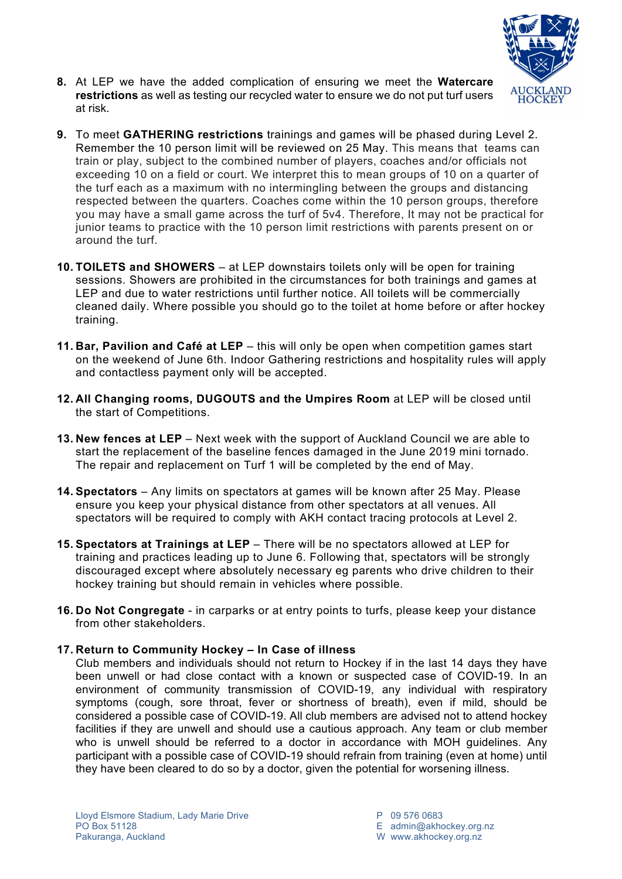

- **8.** At LEP we have the added complication of ensuring we meet the **Watercare restrictions** as well as testing our recycled water to ensure we do not put turf users at risk.
- **9.** To meet **GATHERING restrictions** trainings and games will be phased during Level 2. Remember the 10 person limit will be reviewed on 25 May. This means that teams can train or play, subject to the combined number of players, coaches and/or officials not exceeding 10 on a field or court. We interpret this to mean groups of 10 on a quarter of the turf each as a maximum with no intermingling between the groups and distancing respected between the quarters. Coaches come within the 10 person groups, therefore you may have a small game across the turf of 5v4. Therefore, It may not be practical for junior teams to practice with the 10 person limit restrictions with parents present on or around the turf.
- **10. TOILETS and SHOWERS** at LEP downstairs toilets only will be open for training sessions. Showers are prohibited in the circumstances for both trainings and games at LEP and due to water restrictions until further notice. All toilets will be commercially cleaned daily. Where possible you should go to the toilet at home before or after hockey training.
- **11. Bar, Pavilion and Café at LEP** this will only be open when competition games start on the weekend of June 6th. Indoor Gathering restrictions and hospitality rules will apply and contactless payment only will be accepted.
- **12. All Changing rooms, DUGOUTS and the Umpires Room** at LEP will be closed until the start of Competitions.
- **13. New fences at LEP** Next week with the support of Auckland Council we are able to start the replacement of the baseline fences damaged in the June 2019 mini tornado. The repair and replacement on Turf 1 will be completed by the end of May.
- **14. Spectators** Any limits on spectators at games will be known after 25 May. Please ensure you keep your physical distance from other spectators at all venues. All spectators will be required to comply with AKH contact tracing protocols at Level 2.
- **15. Spectators at Trainings at LEP** There will be no spectators allowed at LEP for training and practices leading up to June 6. Following that, spectators will be strongly discouraged except where absolutely necessary eg parents who drive children to their hockey training but should remain in vehicles where possible.
- **16. Do Not Congregate** in carparks or at entry points to turfs, please keep your distance from other stakeholders.

#### **17. Return to Community Hockey – In Case of illness**

Club members and individuals should not return to Hockey if in the last 14 days they have been unwell or had close contact with a known or suspected case of COVID-19. In an environment of community transmission of COVID-19, any individual with respiratory symptoms (cough, sore throat, fever or shortness of breath), even if mild, should be considered a possible case of COVID-19. All club members are advised not to attend hockey facilities if they are unwell and should use a cautious approach. Any team or club member who is unwell should be referred to a doctor in accordance with MOH guidelines. Any participant with a possible case of COVID-19 should refrain from training (even at home) until they have been cleared to do so by a doctor, given the potential for worsening illness.